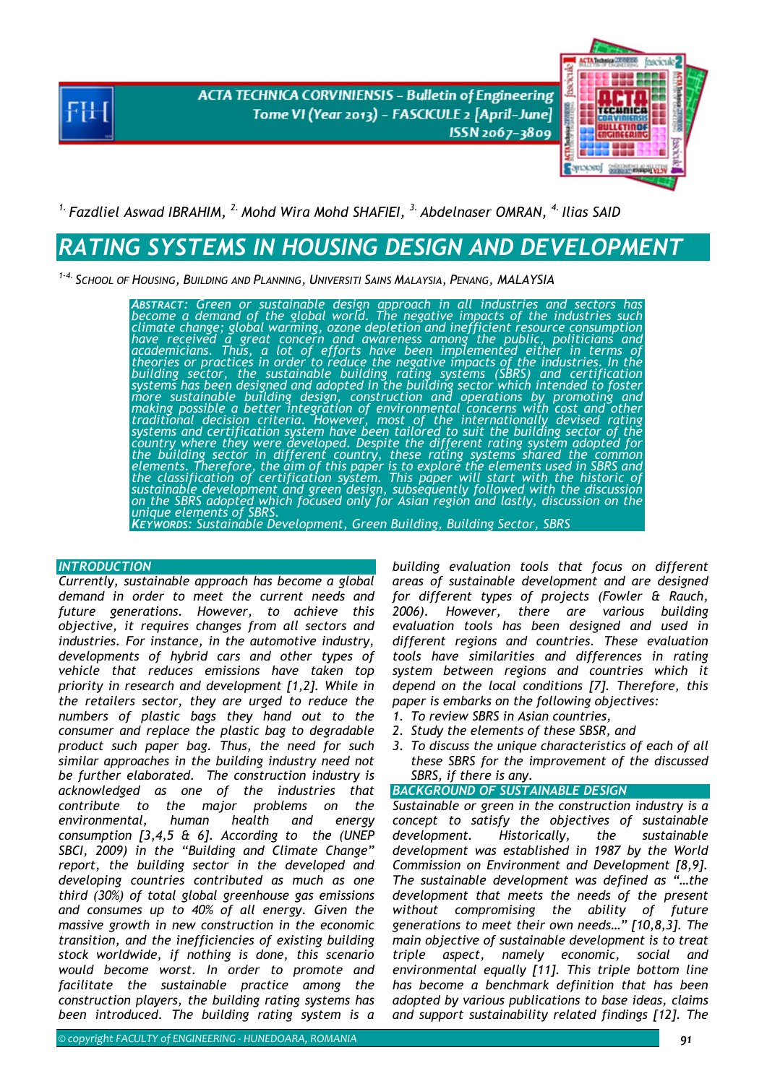**ACTA TECHNICA CORVINIENSIS - Bulletin of Engineering** Tome VI (Year 2013) - FASCICULE 2 [April-June] ISSN 2067-3809



## <sup>1.</sup> Fazdliel Aswad IBRAHIM, <sup>2.</sup> Mohd Wira Mohd SHAFIEI, <sup>3.</sup> Abdelnaser OMRAN, <sup>4.</sup> Ilias SAID

# *RATING SYSTEMS IN HOUSING DESIGN AND DEVELOPMENT*

*1-4. SCHOOL OF HOUSING, BUILDING AND PLANNING, UNIVERSITI SAINS MALAYSIA, PENANG, MALAYSIA* 

*ABSTRACT: Green or sustainable design approach in all industries and sectors has become a demand of the global world. The negative impacts of the industries such*  climate change; global warming, ozone depletion and inefficient resource consumption<br>have received a great concern and awareness among the public, politicians and<br>academicians. Thus, a lot of efforts have been implemented theories or practices in order to reduce the negative impacts of the industries. In the<br>building sector, the sustainable building rating systems (SBRS) and certification<br>systems has been designed and adopted in the buildin *traditional decision criteria. However, most of the internationally devised rating systems and certification system have been tailored to suit the building sector of the country where they were developed. Despite the different rating system adopted for the building sector in different country, these rating systems shared the common*  elements. Therefore, the aim of this paper is to explore the elements used in SBRS and<br>the classification of certification system. This paper will start with the historic of<br>sustainable development and green design, subseq *on the SBRS adopted which focused only for Asian region and lastly, discussion on the*<br>unique elements of SBRS. *KEYWORDS: Sustainable Development, Green Building, Building Sector, SBRS* 

## *INTRODUCTION*

*Currently, sustainable approach has become a global demand in order to meet the current needs and future generations. However, to achieve this objective, it requires changes from all sectors and industries. For instance, in the automotive industry, developments of hybrid cars and other types of vehicle that reduces emissions have taken top priority in research and development [1,2]. While in the retailers sector, they are urged to reduce the numbers of plastic bags they hand out to the consumer and replace the plastic bag to degradable product such paper bag. Thus, the need for such similar approaches in the building industry need not be further elaborated. The construction industry is acknowledged as one of the industries that contribute to the major problems on the environmental, human health and energy consumption [3,4,5 & 6]. According to the (UNEP SBCI, 2009) in the "Building and Climate Change" report, the building sector in the developed and developing countries contributed as much as one third (30%) of total global greenhouse gas emissions and consumes up to 40% of all energy. Given the massive growth in new construction in the economic transition, and the inefficiencies of existing building stock worldwide, if nothing is done, this scenario would become worst. In order to promote and facilitate the sustainable practice among the construction players, the building rating systems has been introduced. The building rating system is a* 

*building evaluation tools that focus on different areas of sustainable development and are designed for different types of projects (Fowler & Rauch, 2006). However, there are various building evaluation tools has been designed and used in different regions and countries. These evaluation tools have similarities and differences in rating system between regions and countries which it depend on the local conditions [7]. Therefore, this paper is embarks on the following objectives:*

- *1. To review SBRS in Asian countries,*
- *2. Study the elements of these SBSR, and*
- *3. To discuss the unique characteristics of each of all these SBRS for the improvement of the discussed SBRS, if there is any.*
- **BACKGROUND OF SUSTAINABLE DESIGN**

*Sustainable or green in the construction industry is a concept to satisfy the objectives of sustainable development. Historically, the sustainable development was established in 1987 by the World Commission on Environment and Development [8,9]. The sustainable development was defined as "…the development that meets the needs of the present without compromising the ability of future generations to meet their own needs…" [10,8,3]. The main objective of sustainable development is to treat triple aspect, namely economic, social and environmental equally [11]. This triple bottom line has become a benchmark definition that has been adopted by various publications to base ideas, claims and support sustainability related findings [12]. The*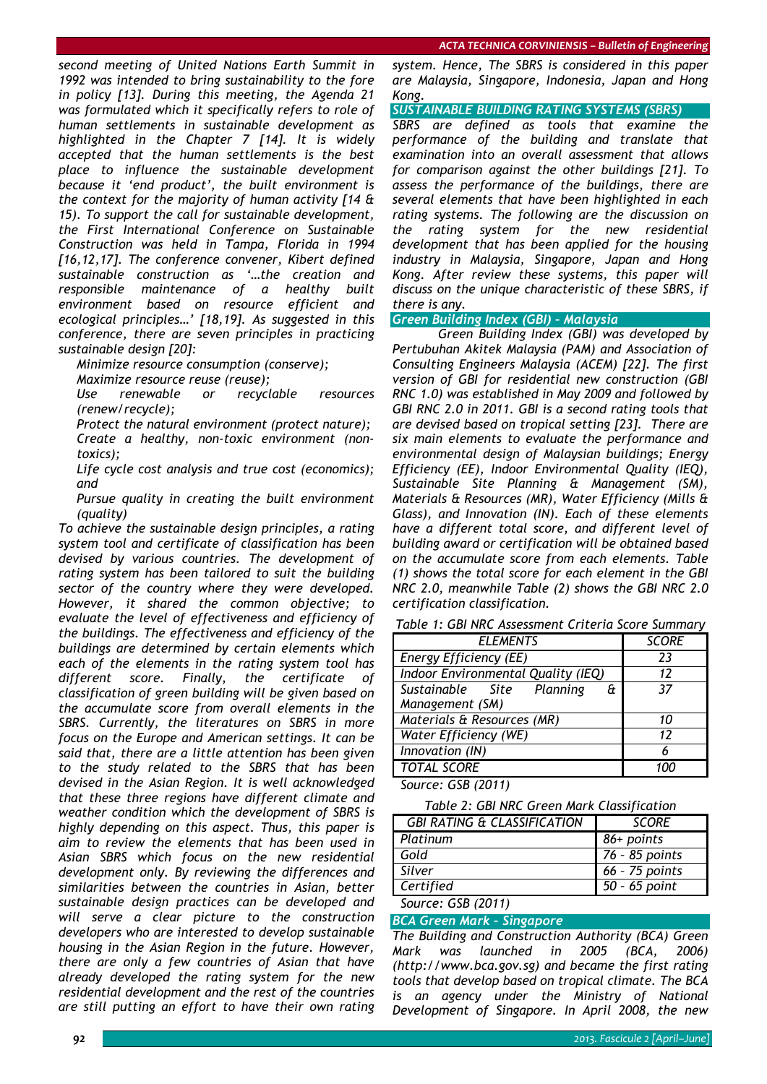*second meeting of United Nations Earth Summit in 1992 was intended to bring sustainability to the fore in policy [13]. During this meeting, the Agenda 21 was formulated which it specifically refers to role of human settlements in sustainable development as highlighted in the Chapter 7 [14]. It is widely accepted that the human settlements is the best place to influence the sustainable development because it 'end product', the built environment is the context for the majority of human activity [14 & 15). To support the call for sustainable development, the First International Conference on Sustainable Construction was held in Tampa, Florida in 1994 [16,12,17]. The conference convener, Kibert defined sustainable construction as '…the creation and responsible maintenance of a healthy built environment based on resource efficient and ecological principles…' [18,19]. As suggested in this conference, there are seven principles in practicing sustainable design [20]:*

*Minimize resource consumption (conserve);* 

*Maximize resource reuse (reuse);* 

 *Use renewable or recyclable resources (renew/recycle);* 

 *Protect the natural environment (protect nature); Create a healthy, non-toxic environment (non-*

*toxics); Life cycle cost analysis and true cost (economics);* 

*and*

 *Pursue quality in creating the built environment (quality)*

*To achieve the sustainable design principles, a rating system tool and certificate of classification has been devised by various countries. The development of rating system has been tailored to suit the building sector of the country where they were developed. However, it shared the common objective; to evaluate the level of effectiveness and efficiency of the buildings. The effectiveness and efficiency of the buildings are determined by certain elements which each of the elements in the rating system tool has different score. Finally, the certificate of classification of green building will be given based on the accumulate score from overall elements in the SBRS. Currently, the literatures on SBRS in more focus on the Europe and American settings. It can be said that, there are a little attention has been given to the study related to the SBRS that has been devised in the Asian Region. It is well acknowledged that these three regions have different climate and weather condition which the development of SBRS is highly depending on this aspect. Thus, this paper is aim to review the elements that has been used in Asian SBRS which focus on the new residential development only. By reviewing the differences and similarities between the countries in Asian, better sustainable design practices can be developed and will serve a clear picture to the construction developers who are interested to develop sustainable housing in the Asian Region in the future. However, there are only a few countries of Asian that have already developed the rating system for the new residential development and the rest of the countries are still putting an effort to have their own rating* 

*system. Hence, The SBRS is considered in this paper are Malaysia, Singapore, Indonesia, Japan and Hong Kong.* 

*SUSTAINABLE BUILDING RATING SYSTEMS (SBRS)* 

*SBRS are defined as tools that examine the performance of the building and translate that examination into an overall assessment that allows for comparison against the other buildings [21]. To assess the performance of the buildings, there are several elements that have been highlighted in each rating systems. The following are the discussion on the rating system for the new residential development that has been applied for the housing industry in Malaysia, Singapore, Japan and Hong Kong. After review these systems, this paper will discuss on the unique characteristic of these SBRS, if there is any.* 

## *Green Building Index (GBI) – Malaysia*

*Green Building Index (GBI) was developed by Pertubuhan Akitek Malaysia (PAM) and Association of Consulting Engineers Malaysia (ACEM) [22]. The first version of GBI for residential new construction (GBI RNC 1.0) was established in May 2009 and followed by GBI RNC 2.0 in 2011. GBI is a second rating tools that are devised based on tropical setting [23]. There are six main elements to evaluate the performance and environmental design of Malaysian buildings; Energy Efficiency (EE), Indoor Environmental Quality (IEQ), Sustainable Site Planning & Management (SM), Materials & Resources (MR), Water Efficiency (Mills & Glass), and Innovation (IN). Each of these elements have a different total score, and different level of building award or certification will be obtained based on the accumulate score from each elements. Table (1) shows the total score for each element in the GBI NRC 2.0, meanwhile Table (2) shows the GBI NRC 2.0 certification classification.*

|  |  | Table 1: GBI NRC Assessment Criteria Score Summary |  |  |  |  |
|--|--|----------------------------------------------------|--|--|--|--|
|--|--|----------------------------------------------------|--|--|--|--|

| <b>ELEMENTS</b>                       | <b>SCORE</b> |
|---------------------------------------|--------------|
| <b>Energy Efficiency (EE)</b>         | 23           |
| Indoor Environmental Quality (IEQ)    | 12           |
| Sustainable Site Planning<br>$\theta$ | 37           |
| Management (SM)                       |              |
| Materials & Resources (MR)            | 10           |
| <b>Water Efficiency (WE)</b>          | 12           |
| Innovation (IN)                       | 6            |
| <b>TOTAL SCORE</b>                    |              |

*Source: GSB (2011)* 

*Table 2: GBI NRC Green Mark Classification* 

| <b>GBI RATING &amp; CLASSIFICATION</b> | <b>SCORE</b>   |
|----------------------------------------|----------------|
| Platinum                               | 86+ points     |
| Gold                                   | 76 - 85 points |
| Silver                                 | 66 - 75 points |
| Certified                              | 50 - 65 point  |
|                                        |                |

## *Source: GSB (2011)*

*BCA Green Mark – Singapore The Building and Construction Authority (BCA) Green Mark was launched in 2005 (BCA, 2006) (http://www.bca.gov.sg) and became the first rating tools that develop based on tropical climate. The BCA is an agency under the Ministry of National Development of Singapore. In April 2008, the new*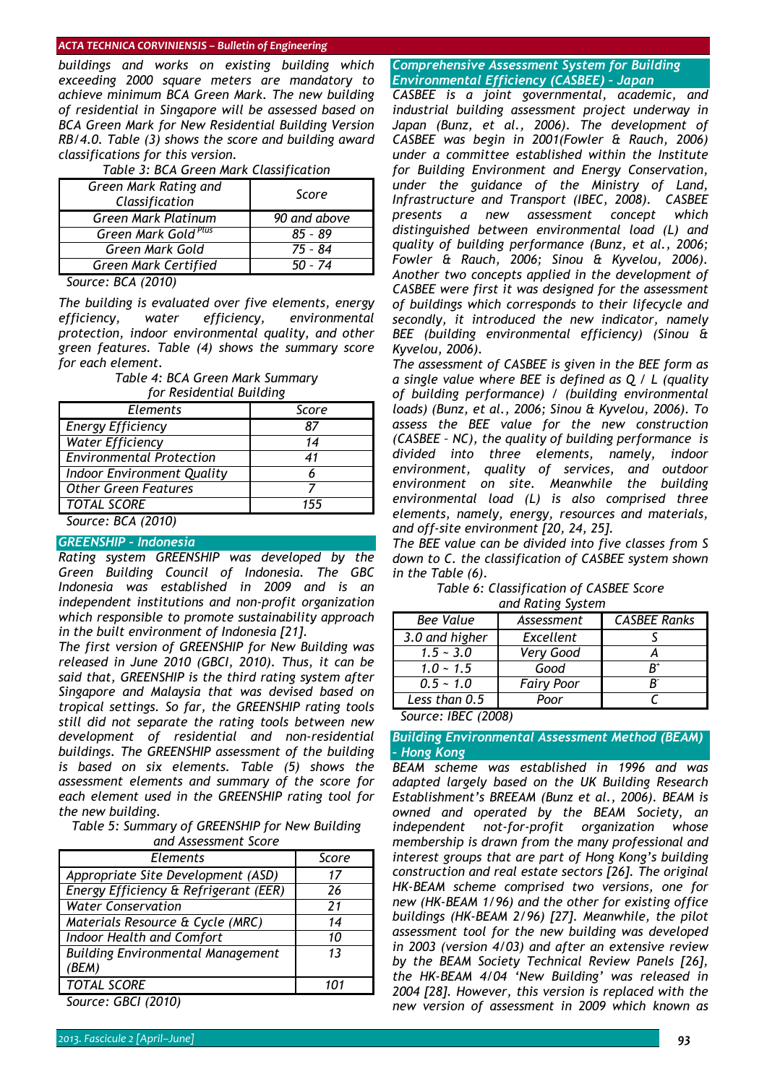#### *ACTA TECHNICA CORVINIENSIS – Bulletin of Engineering*

*buildings and works on existing building which exceeding 2000 square meters are mandatory to achieve minimum BCA Green Mark. The new building of residential in Singapore will be assessed based on BCA Green Mark for New Residential Building Version RB/4.0. Table (3) shows the score and building award classifications for this version.* 

| Green Mark Rating and<br>Classification | Score        |  |  |  |
|-----------------------------------------|--------------|--|--|--|
| Green Mark Platinum                     | 90 and above |  |  |  |
| Green Mark Gold Plus                    | $85 - 89$    |  |  |  |
| Green Mark Gold                         | 75 - 84      |  |  |  |
| Green Mark Certified                    | 50 - 74      |  |  |  |

### *Table 3: BCA Green Mark Classification*

#### *Source: BCA (2010)*

*The building is evaluated over five elements, energy efficiency, water efficiency, environmental protection, indoor environmental quality, and other green features. Table (4) shows the summary score for each element.* 

> *Table 4: BCA Green Mark Summary for Residential Building*

| וטו ו <i>וכאועכ</i> וונוע <i>ו</i> ווען ווען |       |  |  |  |
|----------------------------------------------|-------|--|--|--|
| Elements                                     | Score |  |  |  |
| <b>Energy Efficiency</b>                     | 87    |  |  |  |
| <b>Water Efficiency</b>                      | 14    |  |  |  |
| <b>Environmental Protection</b>              | 41    |  |  |  |
| Indoor Environment Quality                   |       |  |  |  |
| <b>Other Green Features</b>                  |       |  |  |  |
| <b>TOTAL SCORE</b>                           | 155   |  |  |  |
| Source: BCA (2010)                           |       |  |  |  |

## *GREENSHIP – Indonesia*

*Rating system GREENSHIP was developed by the Green Building Council of Indonesia. The GBC Indonesia was established in 2009 and is an independent institutions and non-profit organization which responsible to promote sustainability approach in the built environment of Indonesia [21].* 

*The first version of GREENSHIP for New Building was released in June 2010 (GBCI, 2010). Thus, it can be said that, GREENSHIP is the third rating system after Singapore and Malaysia that was devised based on tropical settings. So far, the GREENSHIP rating tools still did not separate the rating tools between new development of residential and non-residential buildings. The GREENSHIP assessment of the building is based on six elements. Table (5) shows the assessment elements and summary of the score for each element used in the GREENSHIP rating tool for the new building.* 

*Table 5: Summary of GREENSHIP for New Building and Assessment Score* 

| <b>Elements</b>                          | Score |
|------------------------------------------|-------|
| Appropriate Site Development (ASD)       | 17    |
| Energy Efficiency & Refrigerant (EER)    | 26    |
| <b>Water Conservation</b>                | 21    |
| Materials Resource & Cycle (MRC)         | 14    |
| Indoor Health and Comfort                | 10    |
| <b>Building Environmental Management</b> | 13    |
| (BEM)                                    |       |
| <b>TOTAL SCORE</b>                       |       |

*Source: GBCI (2010)* 

## *Comprehensive Assessment System for Building Environmental Efficiency (CASBEE) – Japan*

*CASBEE is a joint governmental, academic, and industrial building assessment project underway in*  Japan (Bunz, et al., 2006). The development of *CASBEE was begin in 2001(Fowler & Rauch, 2006) under a committee established within the Institute for Building Environment and Energy Conservation, under the guidance of the Ministry of Land, Infrastructure and Transport (IBEC, 2008). CASBEE presents a new assessment concept which distinguished between environmental load (L) and quality of building performance (Bunz, et al., 2006; Fowler & Rauch, 2006; Sinou & Kyvelou, 2006). Another two concepts applied in the development of CASBEE were first it was designed for the assessment of buildings which corresponds to their lifecycle and secondly, it introduced the new indicator, namely BEE (building environmental efficiency) (Sinou & Kyvelou, 2006).* 

*The assessment of CASBEE is given in the BEE form as a single value where BEE is defined as Q / L (quality of building performance) / (building environmental loads) (Bunz, et al., 2006; Sinou & Kyvelou, 2006). To assess the BEE value for the new construction (CASBEE – NC), the quality of building performance is divided into three elements, namely, indoor environment, quality of services, and outdoor environment on site. Meanwhile the building environmental load (L) is also comprised three elements, namely, energy, resources and materials, and off-site environment [20, 24, 25].* 

*The BEE value can be divided into five classes from S down to C. the classification of CASBEE system shown in the Table (6).* 

*Table 6: Classification of CASBEE Score and Rating System* 

| <b>Bee Value</b> | Assessment        | <b>CASBEE Ranks</b> |
|------------------|-------------------|---------------------|
| 3.0 and higher   | Excellent         |                     |
| $1.5 - 3.0$      | Very Good         |                     |
| $1.0 \sim 1.5$   | Good              | $R^+$               |
| $0.5 - 1.0$      | <b>Fairy Poor</b> |                     |
| Less than 0.5    | Poor              |                     |

*Source: IBEC (2008)* 

## *Building Environmental Assessment Method (BEAM) – Hong Kong*

*BEAM scheme was established in 1996 and was adapted largely based on the UK Building Research Establishment's BREEAM (Bunz et al., 2006). BEAM is owned and operated by the BEAM Society, an independent not-for-profit organization whose membership is drawn from the many professional and interest groups that are part of Hong Kong's building construction and real estate sectors [26]. The original HK-BEAM scheme comprised two versions, one for new (HK-BEAM 1/96) and the other for existing office buildings (HK-BEAM 2/96) [27]. Meanwhile, the pilot assessment tool for the new building was developed in 2003 (version 4/03) and after an extensive review by the BEAM Society Technical Review Panels [26], the HK-BEAM 4/04 'New Building' was released in 2004 [28]. However, this version is replaced with the new version of assessment in 2009 which known as*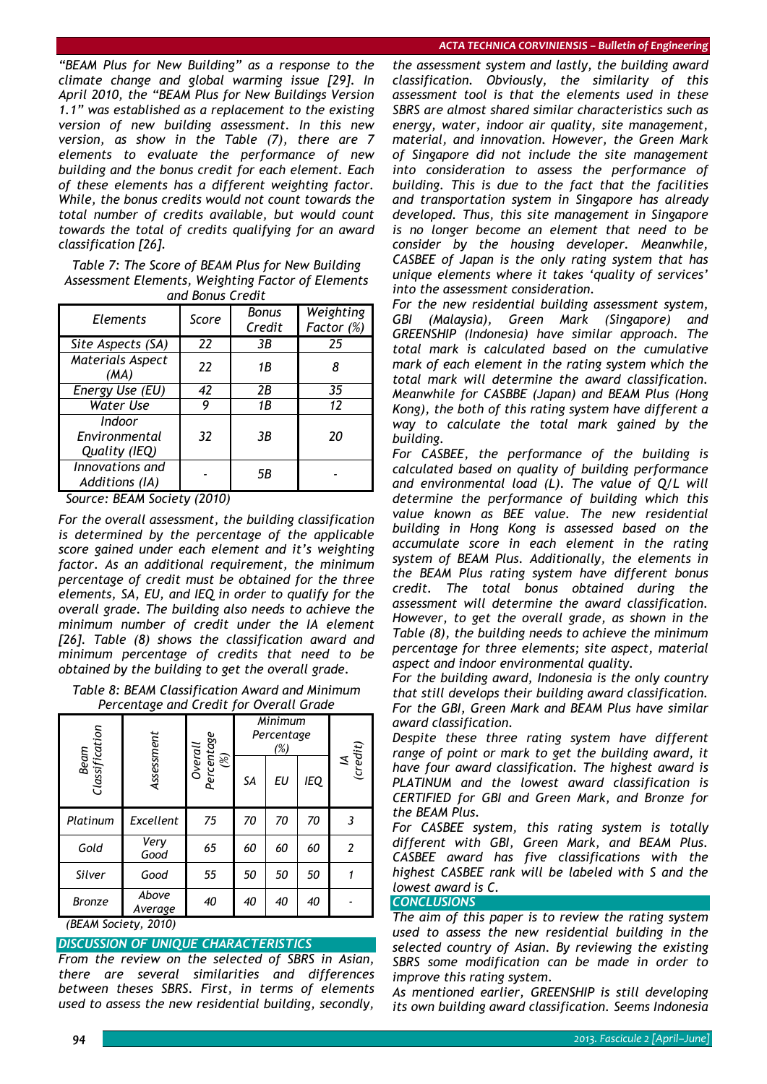*"BEAM Plus for New Building" as a response to the climate change and global warming issue [29]. In April 2010, the "BEAM Plus for New Buildings Version 1.1" was established as a replacement to the existing version of new building assessment. In this new version, as show in the Table (7), there are 7 elements to evaluate the performance of new building and the bonus credit for each element. Each of these elements has a different weighting factor. While, the bonus credits would not count towards the total number of credits available, but would count towards the total of credits qualifying for an award classification [26].* 

*Table 7: The Score of BEAM Plus for New Building Assessment Elements, Weighting Factor of Elements and Bonus Credit* 

| Elements                                 | <b>Bonus</b><br>Score<br>Credit |     | Weighting<br>Factor (%) |  |  |
|------------------------------------------|---------------------------------|-----|-------------------------|--|--|
| Site Aspects (SA)                        | 22                              | 3B  | 25                      |  |  |
| Materials Aspect<br>(MA)                 | 22                              | 1 B |                         |  |  |
| Energy Use (EU)                          | 42                              | 2B  | 35                      |  |  |
| Water Use                                | g                               | 1B  | 12                      |  |  |
| Indoor<br>Environmental<br>Quality (IEQ) | 32                              | 3B  | 20                      |  |  |
| Innovations and<br>Additions (IA)        |                                 | 5B  |                         |  |  |

*Source: BEAM Society (2010)* 

*For the overall assessment, the building classification is determined by the percentage of the applicable score gained under each element and it's weighting factor. As an additional requirement, the minimum percentage of credit must be obtained for the three elements, SA, EU, and IEQ in order to qualify for the overall grade. The building also needs to achieve the minimum number of credit under the IA element [26]. Table (8) shows the classification award and minimum percentage of credits that need to be obtained by the building to get the overall grade.* 

*Table 8: BEAM Classification Award and Minimum Percentage and Credit for Overall Grade* 

|                                   |                  |                              | Minimum<br>Percentage<br>(%) |    |            |                |
|-----------------------------------|------------------|------------------------------|------------------------------|----|------------|----------------|
| Beam<br>Classification            | Assessment       | Overall<br>Percentage<br>(%) | SA                           | EU | <b>IEQ</b> | IA<br>(credit) |
| Platinum                          | Excellent        | 75                           | 70                           | 70 | 70         | 3              |
| Gold                              | Very<br>Good     | 65                           | 60                           | 60 | 60         | 2              |
| Silver                            | Good             | 55                           | 50                           | 50 | 50         |                |
| <b>Bronze</b><br>$ADFAALC = 2.24$ | Above<br>Average | 40                           | 40                           | 40 | 40         |                |

*(BEAM Society, 2010)* 

## *DISCUSSION OF UNIQUE CHARACTERISTICS*

*From the review on the selected of SBRS in Asian, there are several similarities and differences between theses SBRS. First, in terms of elements used to assess the new residential building, secondly,* 

*the assessment system and lastly, the building award classification. Obviously, the similarity of this assessment tool is that the elements used in these SBRS are almost shared similar characteristics such as energy, water, indoor air quality, site management, material, and innovation. However, the Green Mark of Singapore did not include the site management into consideration to assess the performance of building. This is due to the fact that the facilities and transportation system in Singapore has already developed. Thus, this site management in Singapore is no longer become an element that need to be consider by the housing developer. Meanwhile, CASBEE of Japan is the only rating system that has unique elements where it takes 'quality of services' into the assessment consideration.* 

*For the new residential building assessment system, GBI (Malaysia), Green Mark (Singapore) and GREENSHIP (Indonesia) have similar approach. The total mark is calculated based on the cumulative mark of each element in the rating system which the total mark will determine the award classification. Meanwhile for CASBBE (Japan) and BEAM Plus (Hong Kong), the both of this rating system have different a way to calculate the total mark gained by the building.* 

*For CASBEE, the performance of the building is calculated based on quality of building performance and environmental load (L). The value of Q/L will determine the performance of building which this value known as BEE value. The new residential building in Hong Kong is assessed based on the accumulate score in each element in the rating system of BEAM Plus. Additionally, the elements in the BEAM Plus rating system have different bonus credit. The total bonus obtained during the assessment will determine the award classification. However, to get the overall grade, as shown in the Table (8), the building needs to achieve the minimum percentage for three elements; site aspect, material aspect and indoor environmental quality.* 

*For the building award, Indonesia is the only country that still develops their building award classification. For the GBI, Green Mark and BEAM Plus have similar award classification.* 

*Despite these three rating system have different range of point or mark to get the building award, it have four award classification. The highest award is PLATINUM and the lowest award classification is CERTIFIED for GBI and Green Mark, and Bronze for the BEAM Plus.* 

*For CASBEE system, this rating system is totally different with GBI, Green Mark, and BEAM Plus. CASBEE award has five classifications with the highest CASBEE rank will be labeled with S and the lowest award is C.* 

*CONCLUSIONS* 

*The aim of this paper is to review the rating system used to assess the new residential building in the selected country of Asian. By reviewing the existing SBRS some modification can be made in order to improve this rating system.* 

*As mentioned earlier, GREENSHIP is still developing its own building award classification. Seems Indonesia*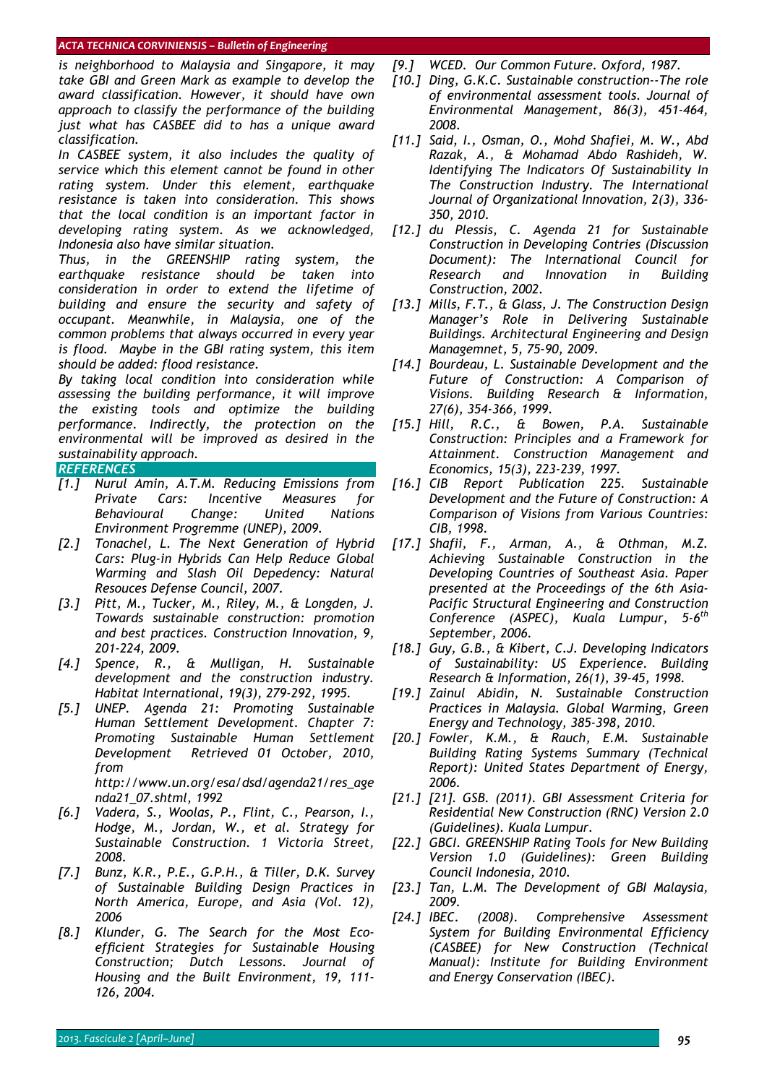#### *ACTA TECHNICA CORVINIENSIS – Bulletin of Engineering*

*is neighborhood to Malaysia and Singapore, it may take GBI and Green Mark as example to develop the award classification. However, it should have own approach to classify the performance of the building just what has CASBEE did to has a unique award classification.* 

*In CASBEE system, it also includes the quality of service which this element cannot be found in other rating system. Under this element, earthquake resistance is taken into consideration. This shows that the local condition is an important factor in developing rating system. As we acknowledged, Indonesia also have similar situation.* 

*Thus, in the GREENSHIP rating system, the earthquake resistance should be taken into consideration in order to extend the lifetime of building and ensure the security and safety of occupant. Meanwhile, in Malaysia, one of the common problems that always occurred in every year is flood. Maybe in the GBI rating system, this item should be added: flood resistance.* 

*By taking local condition into consideration while assessing the building performance, it will improve the existing tools and optimize the building performance. Indirectly, the protection on the environmental will be improved as desired in the sustainability approach.* 

## *REFERENCES*

- *[1.] Nurul Amin, A.T.M. Reducing Emissions from Private Cars: Incentive Measures for Behavioural Change: United Nations Environment Progremme (UNEP), 2009.*
- *[2.] Tonachel, L. The Next Generation of Hybrid Cars: Plug-in Hybrids Can Help Reduce Global Warming and Slash Oil Depedency: Natural Resouces Defense Council, 2007.*
- *[3.] Pitt, M., Tucker, M., Riley, M., & Longden, J. Towards sustainable construction: promotion and best practices. Construction Innovation, 9, 201-224, 2009.*
- *[4.] Spence, R., & Mulligan, H. Sustainable development and the construction industry. Habitat International, 19(3), 279-292, 1995.*
- *[5.] UNEP. Agenda 21: Promoting Sustainable Human Settlement Development. Chapter 7: Promoting Sustainable Human Settlement Development Retrieved 01 October, 2010, from http://www.un.org/esa/dsd/agenda21/res\_age*
- *nda21\_07.shtml, 1992 [6.] Vadera, S., Woolas, P., Flint, C., Pearson, I., Hodge, M., Jordan, W., et al. Strategy for Sustainable Construction. 1 Victoria Street, 2008.*
- *[7.] Bunz, K.R., P.E., G.P.H., & Tiller, D.K. Survey of Sustainable Building Design Practices in North America, Europe, and Asia (Vol. 12), 2006*
- *[8.] Klunder, G. The Search for the Most Ecoefficient Strategies for Sustainable Housing Construction; Dutch Lessons. Journal of Housing and the Built Environment, 19, 111- 126, 2004.*
- *[9.] WCED. Our Common Future. Oxford, 1987.*
- *[10.] Ding, G.K.C. Sustainable construction--The role of environmental assessment tools. Journal of Environmental Management, 86(3), 451-464, 2008.*
- *[11.] Said, I., Osman, O., Mohd Shafiei, M. W., Abd Razak, A., & Mohamad Abdo Rashideh, W. Identifying The Indicators Of Sustainability In The Construction Industry. The International Journal of Organizational Innovation, 2(3), 336- 350, 2010.*
- *[12.] du Plessis, C. Agenda 21 for Sustainable Construction in Developing Contries (Discussion Document): The International Council for Research and Innovation in Building Construction, 2002.*
- *[13.] Mills, F.T., & Glass, J. The Construction Design Manager's Role in Delivering Sustainable Buildings. Architectural Engineering and Design Managemnet, 5, 75-90, 2009.*
- *[14.] Bourdeau, L. Sustainable Development and the Future of Construction: A Comparison of Visions. Building Research & Information, 27(6), 354-366, 1999.*
- *[15.] Hill, R.C., & Bowen, P.A. Sustainable Construction: Principles and a Framework for Attainment. Construction Management and Economics, 15(3), 223-239, 1997.*
- *[16.] CIB Report Publication 225. Sustainable Development and the Future of Construction: A Comparison of Visions from Various Countries: CIB, 1998.*
- *[17.] Shafii, F., Arman, A., & Othman, M.Z. Achieving Sustainable Construction in the Developing Countries of Southeast Asia. Paper presented at the Proceedings of the 6th Asia-Pacific Structural Engineering and Construction Conference (ASPEC), Kuala Lumpur, 5-6th September, 2006.*
- *[18.] Guy, G.B., & Kibert, C.J. Developing Indicators of Sustainability: US Experience. Building Research & Information, 26(1), 39-45, 1998.*
- *[19.] Zainul Abidin, N. Sustainable Construction Practices in Malaysia. Global Warming, Green Energy and Technology, 385-398, 2010.*
- *[20.] Fowler, K.M., & Rauch, E.M. Sustainable Building Rating Systems Summary (Technical Report): United States Department of Energy, 2006.*
- *[21.] [21]. GSB. (2011). GBI Assessment Criteria for Residential New Construction (RNC) Version 2.0 (Guidelines). Kuala Lumpur.*
- *[22.] GBCI. GREENSHIP Rating Tools for New Building Version 1.0 (Guidelines): Green Building Council Indonesia, 2010.*
- *[23.] Tan, L.M. The Development of GBI Malaysia, 2009.*
- *[24.] IBEC. (2008). Comprehensive Assessment System for Building Environmental Efficiency (CASBEE) for New Construction (Technical Manual): Institute for Building Environment and Energy Conservation (IBEC).*